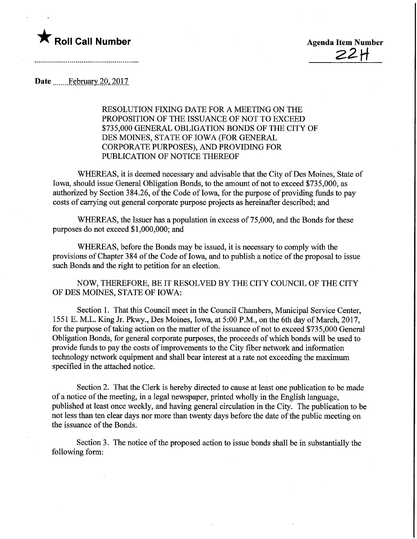

 $22H$ 

Date .............February.20, 2017

RESOLUTION FIXING DATE FOR A MEETING ON THE PROPOSITION OF THE ISSUANCE OF NOT TO EXCEED \$735,000 GENERAL OBLIGATION BONDS OF THE CITY OF DES MOINES, STATE OF IOWA (FOR GENERAL CORPORATE PURPOSES), AND PROVIDING FOR PUBLICATION OF NOTICE THEREOF

WHEREAS, it is deemed necessary and advisable that the City of Des Moines, State of Iowa, should issue General Obligation Bonds, to the amount of not to exceed \$735,000, as authorized by Section 384.26, of the Code of Iowa, for the purpose of providing funds to pay costs of carrying out general corporate purpose projects as hereinafter described; and

WHEREAS, the Issuer has a population in excess of 75,000, and the Bonds for these purposes do not exceed \$1,000,000; and

WHEREAS, before the Bonds may be issued, it is necessary to comply with the provisions of Chapter 384 of the Code of Iowa, and to publish a notice of the proposal to issue such Bonds and the right to petition for an election.

NOW, THEREFORE, BE IT RESOLVED BY THE CITY COUNCIL OF THE CITY OF DES MOINES, STATE OF IOWA:

Section 1. That this Council meet in the Council Chambers, Municipal Service Center, 1551 E. M.L. King Jr. Pkwy., Des Moines, Iowa, at 5:00 P.M., on the 6th day of March, 2017, for the purpose of taking action on the matter of the issuance of not to exceed \$735,000 General Obligation Bonds, for general corporate purposes, the proceeds of which bonds will be used to provide funds to pay the costs of improvements to the City fiber network and information technology network equipment and shall bear interest at a rate not exceeding the maximum specified in the attached notice.

Section 2. That the Clerk is hereby directed to cause at least one publication to be made of a notice of the meeting, in a legal newspaper, printed wholly in the English language, published at least once weekly, and having general circulation in the City. The publication to be not less than ten clear days nor more than twenty days before the date of the public meeting on the issuance of the Bonds.

Section 3. The notice of the proposed action to issue bonds shall be in substantially the following form: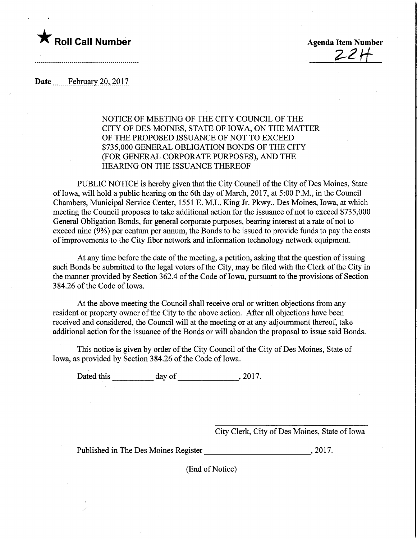

 $221$ 

Date ........ February 20, 2017

NOTICE OF MEETING OF THE CITY COUNCIL OF THE CITY OF DES MOINES, STATE OF IOWA, ON THE MATTER OF THE PROPOSED ISSUANCE OF NOT TO EXCEED \$735,000 GENERAL OBLIGATION BONDS OF THE CITY (FOR GENERAL CORPORATE PURPOSES), AND THE HEARING ON THE ISSUANCE THEREOF

PUBLIC NOTICE is hereby given that the City Council of the City of Des Moines, State of Iowa, will hold a public hearing on the 6th day of March, 2017, at 5:00 P.M., in the Council Chambers, Municipal Service Center, 1551 E. M.L. King Jr. Pkwy., Des Moines, Iowa, at which meeting the Council proposes to take additional action for the issuance of not to exceed \$735,000 General Obligation Bonds, for general corporate purposes, bearing interest at a rate of not to exceed nine (9%) per centum per annum, the Bonds to be issued to provide funds to pay the costs of improvements to the City fiber network and information technology network equipment.

At any time before the date of the meeting, a petition, asking that the question of issuing such Bonds be submitted to the legal voters of the City, may be filed with the Clerk of the City in the manner provided by Section 362.4 of the Code of Iowa, pursuant to the provisions of Section 384.26 of the Code of Iowa.

At the above meeting the Council shall receive oral or written objections from any resident or property owner of the City to the above action. After all objections have been received and considered, the Council will at the meeting or at any adjournment thereof, take additional action for the issuance of the Bonds or will abandon the proposal to issue said Bonds.

This notice is given by order of the City Council of the City of Des Moines, State of Iowa, as provided by Section 384.26 of the Code of Iowa.

Dated this day of , 2017.

City Clerk, City of Des Moines, State of Iowa

Published in The Des Moines Register (2017.

(End of Notice)